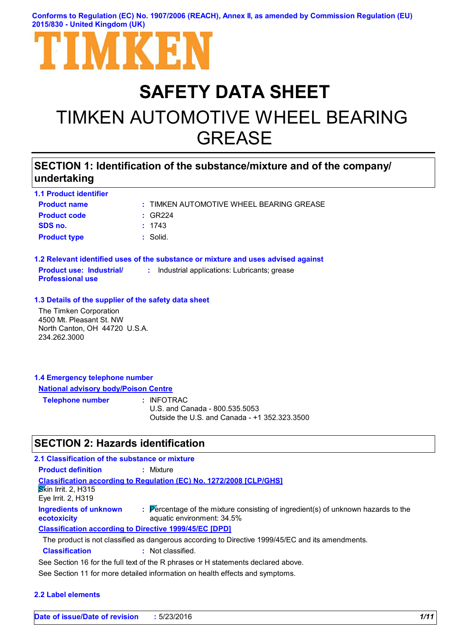**Conforms to Regulation (EC) No. 1907/2006 (REACH), Annex II, as amended by Commission Regulation (EU) 2015/830 - United Kingdom (UK)**



# **SAFETY DATA SHEET**

# TIMKEN AUTOMOTIVE WHEEL BEARING GREASE

### **SECTION 1: Identification of the substance/mixture and of the company/ undertaking**

| <b>1.1 Product identifier</b>                                                                       |                                                                                   |
|-----------------------------------------------------------------------------------------------------|-----------------------------------------------------------------------------------|
| <b>Product name</b>                                                                                 | : TIMKEN AUTOMOTIVE WHEEL BEARING GREASE                                          |
| <b>Product code</b>                                                                                 | $:$ GR224                                                                         |
| SDS no.                                                                                             | : 1743                                                                            |
| <b>Product type</b>                                                                                 | : Solid.                                                                          |
|                                                                                                     | 1.2 Relevant identified uses of the substance or mixture and uses advised against |
| <b>Product use: Industrial/</b><br><b>Professional use</b>                                          | : Industrial applications: Lubricants; grease                                     |
| 1.3 Details of the supplier of the safety data sheet                                                |                                                                                   |
| The Timken Corporation<br>4500 Mt. Pleasant St. NW<br>North Canton, OH 44720 U.S.A.<br>234.262.3000 |                                                                                   |
|                                                                                                     |                                                                                   |

#### **1.4 Emergency telephone number National advisory body/Poison Centre**

| <b>Telephone number</b> | : INFOTRAC                                    |
|-------------------------|-----------------------------------------------|
|                         | U.S. and Canada - 800.535.5053                |
|                         | Outside the U.S. and Canada - +1 352.323.3500 |

### **SECTION 2: Hazards identification**

| 2.1 Classification of the substance or mixture                |                                                                                                                 |
|---------------------------------------------------------------|-----------------------------------------------------------------------------------------------------------------|
| <b>Product definition</b>                                     | : Mixture                                                                                                       |
| <b>Skin Irrit. 2, H315</b><br>Eye Irrit. 2, H319              | <b>Classification according to Regulation (EC) No. 1272/2008 [CLP/GHS]</b>                                      |
| <b>Ingredients of unknown</b><br>ecotoxicity                  | : Percentage of the mixture consisting of ingredient(s) of unknown hazards to the<br>aquatic environment: 34.5% |
| <b>Classification according to Directive 1999/45/EC [DPD]</b> |                                                                                                                 |
|                                                               | The product is not classified as dangerous according to Directive 1999/45/EC and its amendments.                |
| <b>Classification</b>                                         | : Not classified.                                                                                               |
|                                                               | See Section 16 for the full text of the R phrases or H statements declared above.                               |
|                                                               |                                                                                                                 |

See Section 11 for more detailed information on health effects and symptoms.

#### **2.2 Label elements**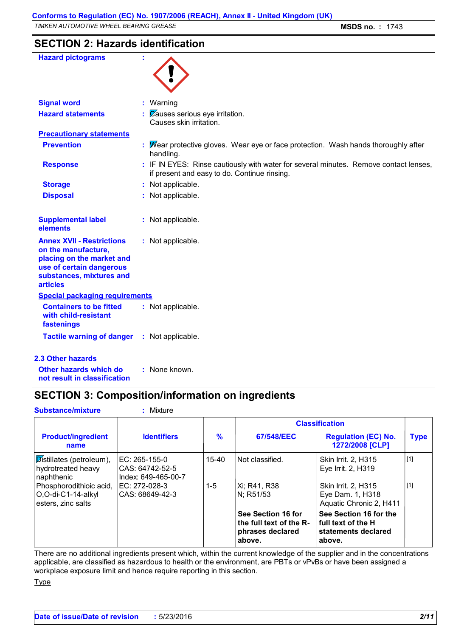### **SECTION 2: Hazards identification**

| <b>Hazard pictograms</b>                                                                                                                                        |                                                                                                                                       |
|-----------------------------------------------------------------------------------------------------------------------------------------------------------------|---------------------------------------------------------------------------------------------------------------------------------------|
| <b>Signal word</b>                                                                                                                                              | : Warning                                                                                                                             |
| <b>Hazard statements</b>                                                                                                                                        | $\therefore$ Zauses serious eye irritation.<br>Causes skin irritation.                                                                |
| <b>Precautionary statements</b>                                                                                                                                 |                                                                                                                                       |
| <b>Prevention</b>                                                                                                                                               | : Mear protective gloves. Wear eye or face protection. Wash hands thoroughly after<br>handling.                                       |
| <b>Response</b>                                                                                                                                                 | : IF IN EYES: Rinse cautiously with water for several minutes. Remove contact lenses,<br>if present and easy to do. Continue rinsing. |
| <b>Storage</b>                                                                                                                                                  | : Not applicable.                                                                                                                     |
| <b>Disposal</b>                                                                                                                                                 | : Not applicable.                                                                                                                     |
| <b>Supplemental label</b><br>elements                                                                                                                           | : Not applicable.                                                                                                                     |
| <b>Annex XVII - Restrictions</b><br>on the manufacture,<br>placing on the market and<br>use of certain dangerous<br>substances, mixtures and<br><b>articles</b> | : Not applicable.                                                                                                                     |
| <b>Special packaging requirements</b>                                                                                                                           |                                                                                                                                       |
| <b>Containers to be fitted</b><br>with child-resistant<br>fastenings                                                                                            | : Not applicable.                                                                                                                     |
| <b>Tactile warning of danger</b>                                                                                                                                | : Not applicable.                                                                                                                     |
| <b>2.3 Other hazards</b>                                                                                                                                        |                                                                                                                                       |

**Other hazards which do : not result in classification** : None known.

### **SECTION 3: Composition/information on ingredients**

| <b>Substance/mixture</b>                                            | : Mixture                                                |               |                                                                             |                                                                               |             |
|---------------------------------------------------------------------|----------------------------------------------------------|---------------|-----------------------------------------------------------------------------|-------------------------------------------------------------------------------|-------------|
|                                                                     | <b>Classification</b>                                    |               |                                                                             |                                                                               |             |
| <b>Product/ingredient</b><br>name                                   | <b>Identifiers</b>                                       | $\frac{9}{6}$ | 67/548/EEC                                                                  | <b>Regulation (EC) No.</b><br>1272/2008 [CLP]                                 | <b>Type</b> |
| Distillates (petroleum),<br>hydrotreated heavy<br>naphthenic        | IEC: 265-155-0<br>CAS: 64742-52-5<br>Index: 649-465-00-7 | 15-40         | Not classified.                                                             | Skin Irrit. 2, H315<br>Eye Irrit. 2, H319                                     | $[1]$       |
| Phosphorodithioic acid,<br>O,O-di-C1-14-alkyl<br>esters, zinc salts | IEC: 272-028-3<br>CAS: 68649-42-3                        | 1-5           | Xi; R41, R38<br>IN: R51/53                                                  | Skin Irrit. 2, H315<br>Eye Dam. 1, H318<br>Aquatic Chronic 2, H411            | $[1]$       |
|                                                                     |                                                          |               | See Section 16 for<br>the full text of the R-<br>phrases declared<br>above. | See Section 16 for the<br>full text of the H<br>statements declared<br>above. |             |

There are no additional ingredients present which, within the current knowledge of the supplier and in the concentrations applicable, are classified as hazardous to health or the environment, are PBTs or vPvBs or have been assigned a workplace exposure limit and hence require reporting in this section.

**Type**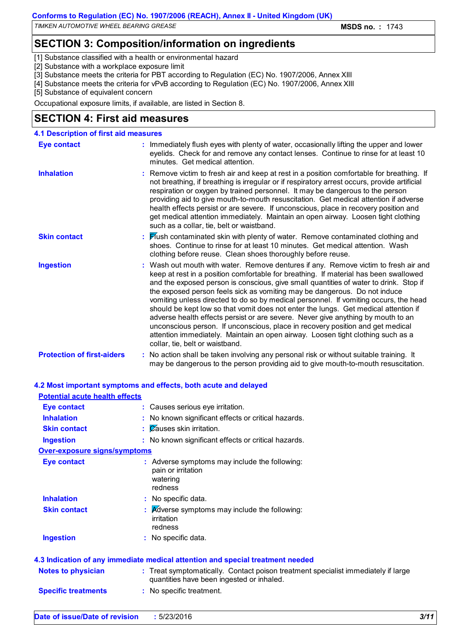### **SECTION 3: Composition/information on ingredients**

[1] Substance classified with a health or environmental hazard

- [2] Substance with a workplace exposure limit
- [3] Substance meets the criteria for PBT according to Regulation (EC) No. 1907/2006, Annex XIII
- [4] Substance meets the criteria for vPvB according to Regulation (EC) No. 1907/2006, Annex XIII

[5] Substance of equivalent concern

Occupational exposure limits, if available, are listed in Section 8.

### **SECTION 4: First aid measures**

| <b>4.1 Description of first aid measures</b> |                                                                                                                                                                                                                                                                                                                                                                                                                                                                                                                                                                                                                                                                                                                                                                                                                              |
|----------------------------------------------|------------------------------------------------------------------------------------------------------------------------------------------------------------------------------------------------------------------------------------------------------------------------------------------------------------------------------------------------------------------------------------------------------------------------------------------------------------------------------------------------------------------------------------------------------------------------------------------------------------------------------------------------------------------------------------------------------------------------------------------------------------------------------------------------------------------------------|
| <b>Eye contact</b>                           | : Immediately flush eyes with plenty of water, occasionally lifting the upper and lower<br>eyelids. Check for and remove any contact lenses. Continue to rinse for at least 10<br>minutes. Get medical attention.                                                                                                                                                                                                                                                                                                                                                                                                                                                                                                                                                                                                            |
| <b>Inhalation</b>                            | : Remove victim to fresh air and keep at rest in a position comfortable for breathing. If<br>not breathing, if breathing is irregular or if respiratory arrest occurs, provide artificial<br>respiration or oxygen by trained personnel. It may be dangerous to the person<br>providing aid to give mouth-to-mouth resuscitation. Get medical attention if adverse<br>health effects persist or are severe. If unconscious, place in recovery position and<br>get medical attention immediately. Maintain an open airway. Loosen tight clothing<br>such as a collar, tie, belt or waistband.                                                                                                                                                                                                                                 |
| <b>Skin contact</b>                          | : Flush contaminated skin with plenty of water. Remove contaminated clothing and<br>shoes. Continue to rinse for at least 10 minutes. Get medical attention. Wash<br>clothing before reuse. Clean shoes thoroughly before reuse.                                                                                                                                                                                                                                                                                                                                                                                                                                                                                                                                                                                             |
| <b>Ingestion</b>                             | : Wash out mouth with water. Remove dentures if any. Remove victim to fresh air and<br>keep at rest in a position comfortable for breathing. If material has been swallowed<br>and the exposed person is conscious, give small quantities of water to drink. Stop if<br>the exposed person feels sick as vomiting may be dangerous. Do not induce<br>vomiting unless directed to do so by medical personnel. If vomiting occurs, the head<br>should be kept low so that vomit does not enter the lungs. Get medical attention if<br>adverse health effects persist or are severe. Never give anything by mouth to an<br>unconscious person. If unconscious, place in recovery position and get medical<br>attention immediately. Maintain an open airway. Loosen tight clothing such as a<br>collar, tie, belt or waistband. |
| <b>Protection of first-aiders</b>            | : No action shall be taken involving any personal risk or without suitable training. It<br>may be dangerous to the person providing aid to give mouth-to-mouth resuscitation.                                                                                                                                                                                                                                                                                                                                                                                                                                                                                                                                                                                                                                                |

|                                       | 4.2 Most important symptoms and effects, both acute and delayed                                                                |
|---------------------------------------|--------------------------------------------------------------------------------------------------------------------------------|
| <b>Potential acute health effects</b> |                                                                                                                                |
| <b>Eye contact</b>                    | : Causes serious eye irritation.                                                                                               |
| <b>Inhalation</b>                     | : No known significant effects or critical hazards.                                                                            |
| <b>Skin contact</b>                   | : Causes skin irritation.                                                                                                      |
| <b>Ingestion</b>                      | : No known significant effects or critical hazards.                                                                            |
| Over-exposure signs/symptoms          |                                                                                                                                |
| <b>Eye contact</b>                    | : Adverse symptoms may include the following:<br>pain or irritation<br>watering<br>redness                                     |
| <b>Inhalation</b>                     | : No specific data.                                                                                                            |
| <b>Skin contact</b>                   | $\therefore$ Adverse symptoms may include the following:<br>irritation<br>redness                                              |
| <b>Ingestion</b>                      | : No specific data.                                                                                                            |
|                                       | 4.3 Indication of any immediate medical attention and special treatment needed                                                 |
| <b>Notes to physician</b>             | : Treat symptomatically. Contact poison treatment specialist immediately if large<br>quantities have been ingested or inhaled. |
| <b>Specific treatments</b>            | : No specific treatment.                                                                                                       |
|                                       |                                                                                                                                |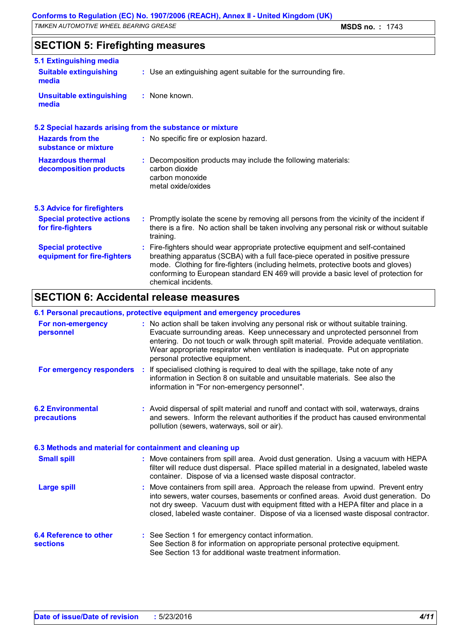### **SECTION 5: Firefighting measures**

| 5.1 Extinguishing media                                   |                                                                                                                                                                                                                                                                                                                                                                     |
|-----------------------------------------------------------|---------------------------------------------------------------------------------------------------------------------------------------------------------------------------------------------------------------------------------------------------------------------------------------------------------------------------------------------------------------------|
| <b>Suitable extinguishing</b><br>media                    | : Use an extinguishing agent suitable for the surrounding fire.                                                                                                                                                                                                                                                                                                     |
| <b>Unsuitable extinguishing</b><br>media                  | : None known.                                                                                                                                                                                                                                                                                                                                                       |
| 5.2 Special hazards arising from the substance or mixture |                                                                                                                                                                                                                                                                                                                                                                     |
| <b>Hazards from the</b><br>substance or mixture           | : No specific fire or explosion hazard.                                                                                                                                                                                                                                                                                                                             |
| <b>Hazardous thermal</b><br>decomposition products        | : Decomposition products may include the following materials:<br>carbon dioxide<br>carbon monoxide<br>metal oxide/oxides                                                                                                                                                                                                                                            |
| <b>5.3 Advice for firefighters</b>                        |                                                                                                                                                                                                                                                                                                                                                                     |
| <b>Special protective actions</b><br>for fire-fighters    | : Promptly isolate the scene by removing all persons from the vicinity of the incident if<br>there is a fire. No action shall be taken involving any personal risk or without suitable<br>training.                                                                                                                                                                 |
| <b>Special protective</b><br>equipment for fire-fighters  | Fire-fighters should wear appropriate protective equipment and self-contained<br>breathing apparatus (SCBA) with a full face-piece operated in positive pressure<br>mode. Clothing for fire-fighters (including helmets, protective boots and gloves)<br>conforming to European standard EN 469 will provide a basic level of protection for<br>chemical incidents. |

### **SECTION 6: Accidental release measures**

#### **6.1 Personal precautions, protective equipment and emergency procedures**

| For non-emergency<br>personnel                           | : No action shall be taken involving any personal risk or without suitable training.<br>Evacuate surrounding areas. Keep unnecessary and unprotected personnel from<br>entering. Do not touch or walk through spilt material. Provide adequate ventilation.<br>Wear appropriate respirator when ventilation is inadequate. Put on appropriate<br>personal protective equipment. |
|----------------------------------------------------------|---------------------------------------------------------------------------------------------------------------------------------------------------------------------------------------------------------------------------------------------------------------------------------------------------------------------------------------------------------------------------------|
| For emergency responders                                 | : If specialised clothing is required to deal with the spillage, take note of any<br>information in Section 8 on suitable and unsuitable materials. See also the<br>information in "For non-emergency personnel".                                                                                                                                                               |
| <b>6.2 Environmental</b><br>precautions                  | : Avoid dispersal of spilt material and runoff and contact with soil, waterways, drains<br>and sewers. Inform the relevant authorities if the product has caused environmental<br>pollution (sewers, waterways, soil or air).                                                                                                                                                   |
| 6.3 Methods and material for containment and cleaning up |                                                                                                                                                                                                                                                                                                                                                                                 |
| <b>Small spill</b>                                       | : Move containers from spill area. Avoid dust generation. Using a vacuum with HEPA<br>filter will reduce dust dispersal. Place spilled material in a designated, labeled waste<br>container. Dispose of via a licensed waste disposal contractor.                                                                                                                               |
| <b>Large spill</b>                                       | : Move containers from spill area. Approach the release from upwind. Prevent entry<br>into sewers, water courses, basements or confined areas. Avoid dust generation. Do<br>not dry sweep. Vacuum dust with equipment fitted with a HEPA filter and place in a<br>closed, labeled waste container. Dispose of via a licensed waste disposal contractor.                         |
| 6.4 Reference to other<br><b>sections</b>                | : See Section 1 for emergency contact information.<br>See Section 8 for information on appropriate personal protective equipment.<br>See Section 13 for additional waste treatment information.                                                                                                                                                                                 |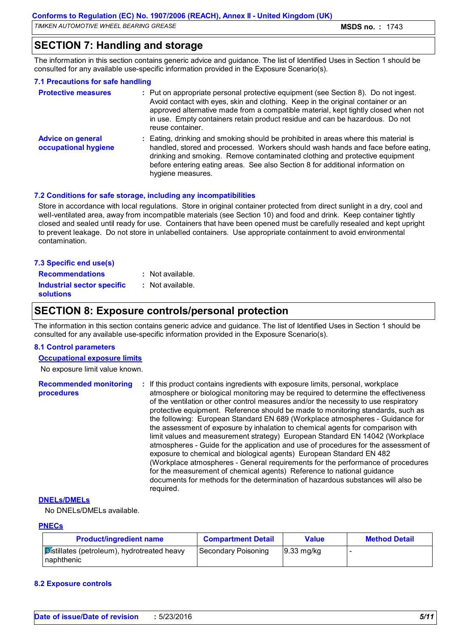### **SECTION 7: Handling and storage**

The information in this section contains generic advice and guidance. The list of Identified Uses in Section 1 should be consulted for any available use-specific information provided in the Exposure Scenario(s).

#### **7.1 Precautions for safe handling**

| <b>Protective measures</b>                       | : Put on appropriate personal protective equipment (see Section 8). Do not ingest.<br>Avoid contact with eyes, skin and clothing. Keep in the original container or an<br>approved alternative made from a compatible material, kept tightly closed when not<br>in use. Empty containers retain product residue and can be hazardous. Do not<br>reuse container. |
|--------------------------------------------------|------------------------------------------------------------------------------------------------------------------------------------------------------------------------------------------------------------------------------------------------------------------------------------------------------------------------------------------------------------------|
| <b>Advice on general</b><br>occupational hygiene | : Eating, drinking and smoking should be prohibited in areas where this material is<br>handled, stored and processed. Workers should wash hands and face before eating,<br>drinking and smoking. Remove contaminated clothing and protective equipment<br>before entering eating areas. See also Section 8 for additional information on<br>hygiene measures.    |

#### **7.2 Conditions for safe storage, including any incompatibilities**

Store in accordance with local regulations. Store in original container protected from direct sunlight in a dry, cool and well-ventilated area, away from incompatible materials (see Section 10) and food and drink. Keep container tightly closed and sealed until ready for use. Containers that have been opened must be carefully resealed and kept upright to prevent leakage. Do not store in unlabelled containers. Use appropriate containment to avoid environmental contamination.

| <b>Recommendations</b><br>: Not available.<br>Industrial sector specific<br>: Not available.<br><b>solutions</b> |  |
|------------------------------------------------------------------------------------------------------------------|--|
|                                                                                                                  |  |
|                                                                                                                  |  |
| 7.3 Specific end use(s)                                                                                          |  |

### **SECTION 8: Exposure controls/personal protection**

The information in this section contains generic advice and guidance. The list of Identified Uses in Section 1 should be consulted for any available use-specific information provided in the Exposure Scenario(s).

#### **8.1 Control parameters**

**Occupational exposure limits**

No exposure limit value known.

**Recommended monitoring procedures :** If this product contains ingredients with exposure limits, personal, workplace atmosphere or biological monitoring may be required to determine the effectiveness of the ventilation or other control measures and/or the necessity to use respiratory protective equipment. Reference should be made to monitoring standards, such as the following: European Standard EN 689 (Workplace atmospheres - Guidance for the assessment of exposure by inhalation to chemical agents for comparison with limit values and measurement strategy) European Standard EN 14042 (Workplace atmospheres - Guide for the application and use of procedures for the assessment of exposure to chemical and biological agents) European Standard EN 482 (Workplace atmospheres - General requirements for the performance of procedures for the measurement of chemical agents) Reference to national guidance documents for methods for the determination of hazardous substances will also be required.

#### **DNELs/DMELs**

No DNELs/DMELs available.

#### **PNECs**

| <b>Product/ingredient name</b>                            | <b>Compartment Detail</b> | Value                  | <b>Method Detail</b> |
|-----------------------------------------------------------|---------------------------|------------------------|----------------------|
| Distillates (petroleum), hydrotreated heavy<br>naphthenic | Secondary Poisoning       | $ 9.33 \text{ mg/kg} $ |                      |

#### **8.2 Exposure controls**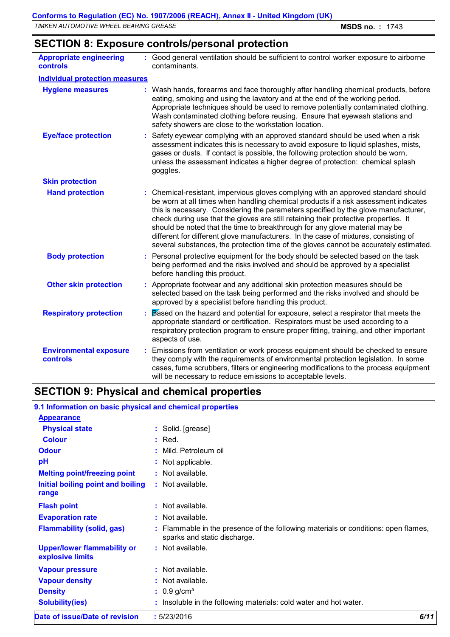## **SECTION 8: Exposure controls/personal protection**

| <b>Appropriate engineering</b><br><b>controls</b> | : Good general ventilation should be sufficient to control worker exposure to airborne<br>contaminants.                                                                                                                                                                                                                                                                                                                                                                                                                                                                                                                |
|---------------------------------------------------|------------------------------------------------------------------------------------------------------------------------------------------------------------------------------------------------------------------------------------------------------------------------------------------------------------------------------------------------------------------------------------------------------------------------------------------------------------------------------------------------------------------------------------------------------------------------------------------------------------------------|
| <b>Individual protection measures</b>             |                                                                                                                                                                                                                                                                                                                                                                                                                                                                                                                                                                                                                        |
| <b>Hygiene measures</b>                           | Wash hands, forearms and face thoroughly after handling chemical products, before<br>eating, smoking and using the lavatory and at the end of the working period.<br>Appropriate techniques should be used to remove potentially contaminated clothing.<br>Wash contaminated clothing before reusing. Ensure that eyewash stations and<br>safety showers are close to the workstation location.                                                                                                                                                                                                                        |
| <b>Eye/face protection</b>                        | Safety eyewear complying with an approved standard should be used when a risk<br>assessment indicates this is necessary to avoid exposure to liquid splashes, mists,<br>gases or dusts. If contact is possible, the following protection should be worn,<br>unless the assessment indicates a higher degree of protection: chemical splash<br>goggles.                                                                                                                                                                                                                                                                 |
| <b>Skin protection</b>                            |                                                                                                                                                                                                                                                                                                                                                                                                                                                                                                                                                                                                                        |
| <b>Hand protection</b>                            | : Chemical-resistant, impervious gloves complying with an approved standard should<br>be worn at all times when handling chemical products if a risk assessment indicates<br>this is necessary. Considering the parameters specified by the glove manufacturer,<br>check during use that the gloves are still retaining their protective properties. It<br>should be noted that the time to breakthrough for any glove material may be<br>different for different glove manufacturers. In the case of mixtures, consisting of<br>several substances, the protection time of the gloves cannot be accurately estimated. |
| <b>Body protection</b>                            | : Personal protective equipment for the body should be selected based on the task<br>being performed and the risks involved and should be approved by a specialist<br>before handling this product.                                                                                                                                                                                                                                                                                                                                                                                                                    |
| <b>Other skin protection</b>                      | : Appropriate footwear and any additional skin protection measures should be<br>selected based on the task being performed and the risks involved and should be<br>approved by a specialist before handling this product.                                                                                                                                                                                                                                                                                                                                                                                              |
| <b>Respiratory protection</b>                     | Based on the hazard and potential for exposure, select a respirator that meets the<br>appropriate standard or certification. Respirators must be used according to a<br>respiratory protection program to ensure proper fitting, training, and other important<br>aspects of use.                                                                                                                                                                                                                                                                                                                                      |
| <b>Environmental exposure</b><br><b>controls</b>  | : Emissions from ventilation or work process equipment should be checked to ensure<br>they comply with the requirements of environmental protection legislation. In some<br>cases, fume scrubbers, filters or engineering modifications to the process equipment<br>will be necessary to reduce emissions to acceptable levels.                                                                                                                                                                                                                                                                                        |

## **SECTION 9: Physical and chemical properties**

| 9.1 Information on basic physical and chemical properties |                                                                                                                    |      |
|-----------------------------------------------------------|--------------------------------------------------------------------------------------------------------------------|------|
| <b>Appearance</b>                                         |                                                                                                                    |      |
| <b>Physical state</b>                                     | : Solid. [grease]                                                                                                  |      |
| <b>Colour</b>                                             | $:$ Red.                                                                                                           |      |
| <b>Odour</b>                                              | : Mild. Petroleum oil                                                                                              |      |
| рH                                                        | : Not applicable.                                                                                                  |      |
| <b>Melting point/freezing point</b>                       | : Not available.                                                                                                   |      |
| Initial boiling point and boiling<br>range                | $:$ Not available.                                                                                                 |      |
| <b>Flash point</b>                                        | : Not available.                                                                                                   |      |
| <b>Evaporation rate</b>                                   | $:$ Not available.                                                                                                 |      |
| <b>Flammability (solid, gas)</b>                          | : Flammable in the presence of the following materials or conditions: open flames,<br>sparks and static discharge. |      |
| <b>Upper/lower flammability or</b><br>explosive limits    | $:$ Not available.                                                                                                 |      |
| <b>Vapour pressure</b>                                    | $:$ Not available.                                                                                                 |      |
| <b>Vapour density</b>                                     | : Not available.                                                                                                   |      |
| <b>Density</b>                                            | $: 0.9$ g/cm <sup>3</sup>                                                                                          |      |
| <b>Solubility(ies)</b>                                    | : Insoluble in the following materials: cold water and hot water.                                                  |      |
| Date of issue/Date of revision                            | : 5/23/2016                                                                                                        | 6/11 |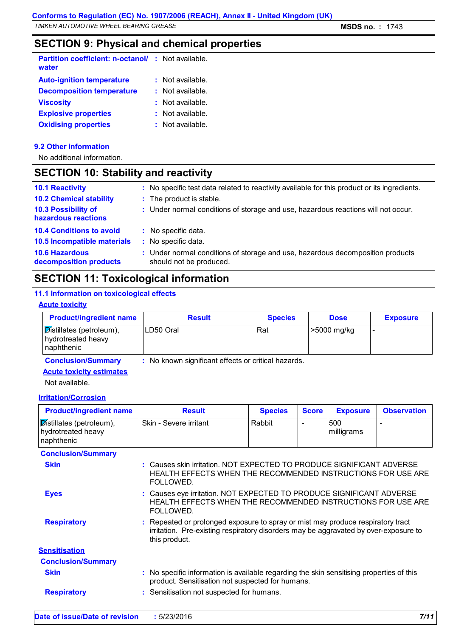### **SECTION 9: Physical and chemical properties**

| <b>Partition coefficient: n-octanol/ : Not available.</b><br>water |                      |
|--------------------------------------------------------------------|----------------------|
| <b>Auto-ignition temperature</b>                                   | $:$ Not available.   |
| <b>Decomposition temperature</b>                                   | $\pm$ Not available. |
| <b>Viscosity</b>                                                   | $:$ Not available.   |
| <b>Explosive properties</b>                                        | $:$ Not available.   |
| <b>Oxidising properties</b>                                        | $:$ Not available.   |

#### **9.2 Other information**

No additional information.

### **SECTION 10: Stability and reactivity**

| <b>10.1 Reactivity</b>                          | : No specific test data related to reactivity available for this product or its ingredients.              |
|-------------------------------------------------|-----------------------------------------------------------------------------------------------------------|
| <b>10.2 Chemical stability</b>                  | : The product is stable.                                                                                  |
| 10.3 Possibility of<br>hazardous reactions      | : Under normal conditions of storage and use, hazardous reactions will not occur.                         |
| <b>10.4 Conditions to avoid</b>                 | : No specific data.                                                                                       |
| 10.5 Incompatible materials                     | : No specific data.                                                                                       |
| <b>10.6 Hazardous</b><br>decomposition products | : Under normal conditions of storage and use, hazardous decomposition products<br>should not be produced. |
|                                                 |                                                                                                           |

### **SECTION 11: Toxicological information**

#### **11.1 Information on toxicological effects**

#### **Acute toxicity**

| <b>Product/ingredient name</b>                                                      | <b>Result</b>                                       | <b>Species</b> | <b>Dose</b> | <b>Exposure</b>          |
|-------------------------------------------------------------------------------------|-----------------------------------------------------|----------------|-------------|--------------------------|
| $\overline{\mathsf{Dist}}$ illates (petroleum),<br>hydrotreated heavy<br>naphthenic | ILD50 Oral                                          | Rat            | >5000 mg/kg | $\overline{\phantom{0}}$ |
| <b>Conclusion/Summary</b>                                                           | : No known significant effects or critical hazards. |                |             |                          |

**Acute toxicity estimates**

Not available.

#### **Irritation/Corrosion**

| <b>Product/ingredient name</b>                               | <b>Result</b>                                                                                                                                                                            | <b>Species</b> | <b>Score</b> | <b>Exposure</b>   | <b>Observation</b> |
|--------------------------------------------------------------|------------------------------------------------------------------------------------------------------------------------------------------------------------------------------------------|----------------|--------------|-------------------|--------------------|
| Distillates (petroleum),<br>hydrotreated heavy<br>naphthenic | Skin - Severe irritant                                                                                                                                                                   | Rabbit         |              | 500<br>milligrams | $\blacksquare$     |
| <b>Conclusion/Summary</b>                                    |                                                                                                                                                                                          |                |              |                   |                    |
| <b>Skin</b>                                                  | : Causes skin irritation. NOT EXPECTED TO PRODUCE SIGNIFICANT ADVERSE<br>HEALTH EFFECTS WHEN THE RECOMMENDED INSTRUCTIONS FOR USE ARE<br>FOLLOWED.                                       |                |              |                   |                    |
| <b>Eyes</b>                                                  | : Causes eye irritation. NOT EXPECTED TO PRODUCE SIGNIFICANT ADVERSE<br>HEALTH EFFECTS WHEN THE RECOMMENDED INSTRUCTIONS FOR USE ARE<br>FOLLOWED.                                        |                |              |                   |                    |
| <b>Respiratory</b>                                           | : Repeated or prolonged exposure to spray or mist may produce respiratory tract<br>irritation. Pre-existing respiratory disorders may be aggravated by over-exposure to<br>this product. |                |              |                   |                    |
| <b>Sensitisation</b>                                         |                                                                                                                                                                                          |                |              |                   |                    |
| <b>Conclusion/Summary</b>                                    |                                                                                                                                                                                          |                |              |                   |                    |
| <b>Skin</b>                                                  | : No specific information is available regarding the skin sensitising properties of this<br>product. Sensitisation not suspected for humans.                                             |                |              |                   |                    |
| <b>Respiratory</b>                                           | : Sensitisation not suspected for humans.                                                                                                                                                |                |              |                   |                    |
|                                                              |                                                                                                                                                                                          |                |              |                   |                    |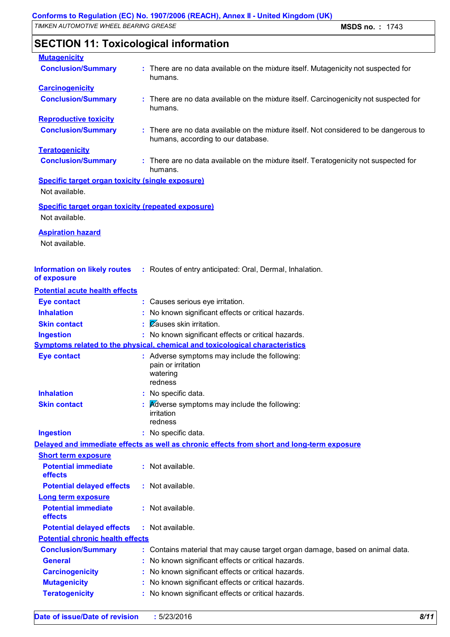### **SECTION 11: Toxicological information**

| <b>Mutagenicity</b>                                                         |                                                                                                                              |
|-----------------------------------------------------------------------------|------------------------------------------------------------------------------------------------------------------------------|
| <b>Conclusion/Summary</b>                                                   | There are no data available on the mixture itself. Mutagenicity not suspected for<br>humans.                                 |
| <b>Carcinogenicity</b>                                                      |                                                                                                                              |
| <b>Conclusion/Summary</b>                                                   | There are no data available on the mixture itself. Carcinogenicity not suspected for<br>humans.                              |
| <b>Reproductive toxicity</b>                                                |                                                                                                                              |
| <b>Conclusion/Summary</b>                                                   | : There are no data available on the mixture itself. Not considered to be dangerous to<br>humans, according to our database. |
| <b>Teratogenicity</b>                                                       |                                                                                                                              |
| <b>Conclusion/Summary</b>                                                   | : There are no data available on the mixture itself. Teratogenicity not suspected for<br>humans.                             |
| <b>Specific target organ toxicity (single exposure)</b>                     |                                                                                                                              |
| Not available.                                                              |                                                                                                                              |
| <b>Specific target organ toxicity (repeated exposure)</b><br>Not available. |                                                                                                                              |
| <b>Aspiration hazard</b><br>Not available.                                  |                                                                                                                              |
| <b>Information on likely routes</b><br>of exposure                          | : Routes of entry anticipated: Oral, Dermal, Inhalation.                                                                     |
| <b>Potential acute health effects</b>                                       |                                                                                                                              |
| <b>Eye contact</b>                                                          | : Causes serious eye irritation.                                                                                             |
| <b>Inhalation</b>                                                           | : No known significant effects or critical hazards.                                                                          |
| <b>Skin contact</b>                                                         | Causes skin irritation.                                                                                                      |
| <b>Ingestion</b>                                                            | : No known significant effects or critical hazards.                                                                          |
|                                                                             | Symptoms related to the physical, chemical and toxicological characteristics                                                 |
| <b>Eye contact</b>                                                          | : Adverse symptoms may include the following:<br>pain or irritation<br>watering<br>redness                                   |
| <b>Inhalation</b>                                                           | No specific data.                                                                                                            |
| <b>Skin contact</b>                                                         | Adverse symptoms may include the following:<br>irritation<br>redness                                                         |
| <b>Ingestion</b>                                                            | : No specific data.                                                                                                          |
|                                                                             | Delayed and immediate effects as well as chronic effects from short and long-term exposure                                   |
| <b>Short term exposure</b>                                                  |                                                                                                                              |
| <b>Potential immediate</b><br>effects                                       | : Not available.                                                                                                             |
| <b>Potential delayed effects</b>                                            | : Not available.                                                                                                             |
| <b>Long term exposure</b>                                                   |                                                                                                                              |
| <b>Potential immediate</b><br>effects                                       | : Not available.                                                                                                             |
| <b>Potential delayed effects</b>                                            | : Not available.                                                                                                             |
| <b>Potential chronic health effects</b>                                     |                                                                                                                              |
| <b>Conclusion/Summary</b>                                                   | Contains material that may cause target organ damage, based on animal data.                                                  |
| <b>General</b>                                                              | No known significant effects or critical hazards.                                                                            |
| <b>Carcinogenicity</b>                                                      | No known significant effects or critical hazards.                                                                            |
| <b>Mutagenicity</b>                                                         | No known significant effects or critical hazards.                                                                            |
| <b>Teratogenicity</b>                                                       | No known significant effects or critical hazards.                                                                            |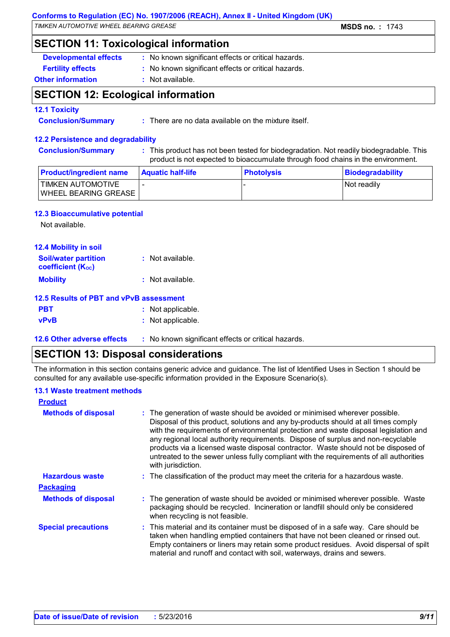#### **Conforms to Regulation (EC) No. 1907/2006 (REACH), Annex II - United Kingdom (UK)**

*TIMKEN AUTOMOTIVE WHEEL BEARING GREASE* **MSDS no. :** 1743

### **SECTION 11: Toxicological information**

- **Developmental effects** : No known significant effects or critical hazards.
- **Fertility effects :** No known significant effects or critical hazards.

#### **Other information :** Not available.

### **SECTION 12: Ecological information**

#### **12.1 Toxicity**

**Conclusion/Summary :** There are no data available on the mixture itself.

#### **12.2 Persistence and degradability**

**Conclusion/Summary :** This product has not been tested for biodegradation. Not readily biodegradable. This product is not expected to bioaccumulate through food chains in the environment.

| <b>Product/ingredient name</b>                    | <b>Aquatic half-life</b> | <b>Photolysis</b> | <b>Biodegradability</b> |
|---------------------------------------------------|--------------------------|-------------------|-------------------------|
| 'TIMKEN AUTOMOTIVE<br><b>WHEEL BEARING GREASE</b> |                          |                   | Not readily             |

#### **12.3 Bioaccumulative potential**

Not available.

| <b>12.4 Mobility in soil</b>                            |                    |
|---------------------------------------------------------|--------------------|
| <b>Soil/water partition</b><br><b>coefficient (Koc)</b> | : Not available.   |
| <b>Mobility</b>                                         | $:$ Not available. |
| <b>12.5 Results of PBT and vPvB assessment</b>          |                    |
| <b>PBT</b>                                              | : Not applicable.  |
| <b>vPvB</b>                                             | : Not applicable.  |

**12.6 Other adverse effects** : No known significant effects or critical hazards.

### **SECTION 13: Disposal considerations**

The information in this section contains generic advice and guidance. The list of Identified Uses in Section 1 should be consulted for any available use-specific information provided in the Exposure Scenario(s).

#### **13.1 Waste treatment methods**

| <b>Product</b>             |                                                                                                                                                                                                                                                                                                                                                                                                                                                                                                                                                     |
|----------------------------|-----------------------------------------------------------------------------------------------------------------------------------------------------------------------------------------------------------------------------------------------------------------------------------------------------------------------------------------------------------------------------------------------------------------------------------------------------------------------------------------------------------------------------------------------------|
| <b>Methods of disposal</b> | : The generation of waste should be avoided or minimised wherever possible.<br>Disposal of this product, solutions and any by-products should at all times comply<br>with the requirements of environmental protection and waste disposal legislation and<br>any regional local authority requirements. Dispose of surplus and non-recyclable<br>products via a licensed waste disposal contractor. Waste should not be disposed of<br>untreated to the sewer unless fully compliant with the requirements of all authorities<br>with jurisdiction. |
| <b>Hazardous waste</b>     | : The classification of the product may meet the criteria for a hazardous waste.                                                                                                                                                                                                                                                                                                                                                                                                                                                                    |
| <b>Packaging</b>           |                                                                                                                                                                                                                                                                                                                                                                                                                                                                                                                                                     |
| <b>Methods of disposal</b> | : The generation of waste should be avoided or minimised wherever possible. Waste<br>packaging should be recycled. Incineration or landfill should only be considered<br>when recycling is not feasible.                                                                                                                                                                                                                                                                                                                                            |
| <b>Special precautions</b> | : This material and its container must be disposed of in a safe way. Care should be<br>taken when handling emptied containers that have not been cleaned or rinsed out.<br>Empty containers or liners may retain some product residues. Avoid dispersal of spilt<br>material and runoff and contact with soil, waterways, drains and sewers.                                                                                                                                                                                                        |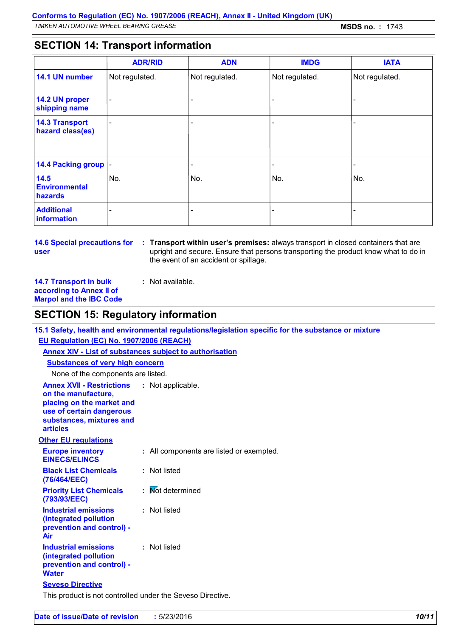### **SECTION 14: Transport information**

|                                           | <b>ADR/RID</b>           | <b>ADN</b>     | <b>IMDG</b>    | <b>IATA</b>    |
|-------------------------------------------|--------------------------|----------------|----------------|----------------|
| 14.1 UN number                            | Not regulated.           | Not regulated. | Not regulated. | Not regulated. |
| 14.2 UN proper<br>shipping name           | $\overline{\phantom{a}}$ |                |                | -              |
| <b>14.3 Transport</b><br>hazard class(es) | $\overline{\phantom{a}}$ |                |                | -              |
| 14.4 Packing group  -                     |                          |                |                | -              |
| 14.5<br><b>Environmental</b><br>hazards   | No.                      | No.            | No.            | No.            |
| <b>Additional</b><br>information          |                          |                |                |                |

# **user**

**14.6 Special precautions for Transport within user's premises:** always transport in closed containers that are **:** upright and secure. Ensure that persons transporting the product know what to do in the event of an accident or spillage.

**14.7 Transport in bulk according to Annex II of Marpol and the IBC Code**

**:** Not available.

### **SECTION 15: Regulatory information**

**15.1 Safety, health and environmental regulations/legislation specific for the substance or mixture EU Regulation (EC) No. 1907/2006 (REACH)**

**Annex XIV - List of substances subject to authorisation**

**Substances of very high concern**

None of the components are listed.

| <b>Annex XVII - Restrictions</b><br>on the manufacture,<br>placing on the market and<br>use of certain dangerous<br>substances, mixtures and<br><b>articles</b> | : Not applicable.                        |
|-----------------------------------------------------------------------------------------------------------------------------------------------------------------|------------------------------------------|
| <b>Other EU regulations</b>                                                                                                                                     |                                          |
| <b>Europe inventory</b><br><b>EINECS/ELINCS</b>                                                                                                                 | : All components are listed or exempted. |
| <b>Black List Chemicals</b><br>(76/464/EEC)                                                                                                                     | : Not listed                             |
| <b>Priority List Chemicals</b><br>(793/93/EEC)                                                                                                                  | : Mot determined                         |
| <b>Industrial emissions</b><br>(integrated pollution<br>prevention and control) -<br>Air                                                                        | : Not listed                             |
| Industrial emissions<br>(integrated pollution<br>prevention and control) -<br><b>Water</b>                                                                      | : Not listed                             |
| <b>Seveso Directive</b>                                                                                                                                         |                                          |
| This product is not controlled under the Seveso Directive.                                                                                                      |                                          |